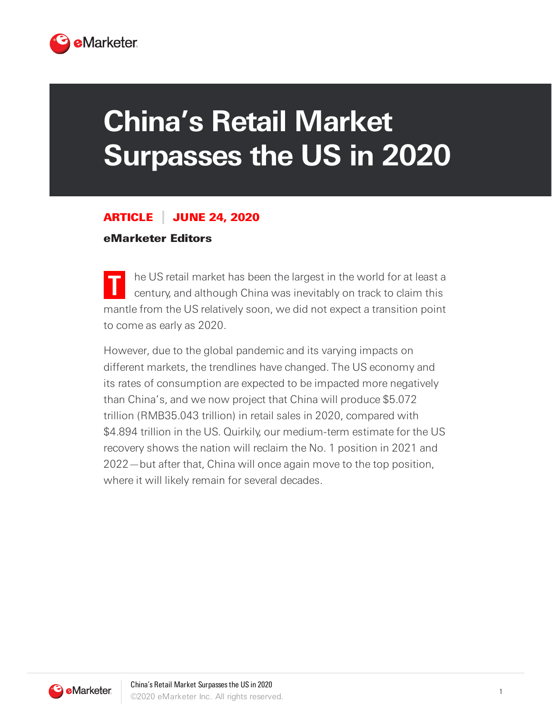

## **China's Retail Market Surpasses the US in 2020**

## ARTICLE JUNE 24, 2020

## eMarketer Editors

**T** he US retail market has been the largest in the world for at least a century, and although China was inevitably on track to claim this mantle from the US relatively soon, we did not expect a transition point to come as early as 2020.

However, due to the global pandemic and its varying impacts on different markets, the trendlines have changed. The US economy and its rates of consumption are expected to be impacted more negatively than China's, and we now project that China will produce \$5.072 trillion (RMB35.043 trillion) in retail sales in 2020, compared with \$4.894 trillion in the US. Quirkily, our medium-term estimate for the US recovery shows the nation will reclaim the No. 1 position in 2021 and 2022—but after that, China will once again move to the top position, where it will likely remain for several decades.

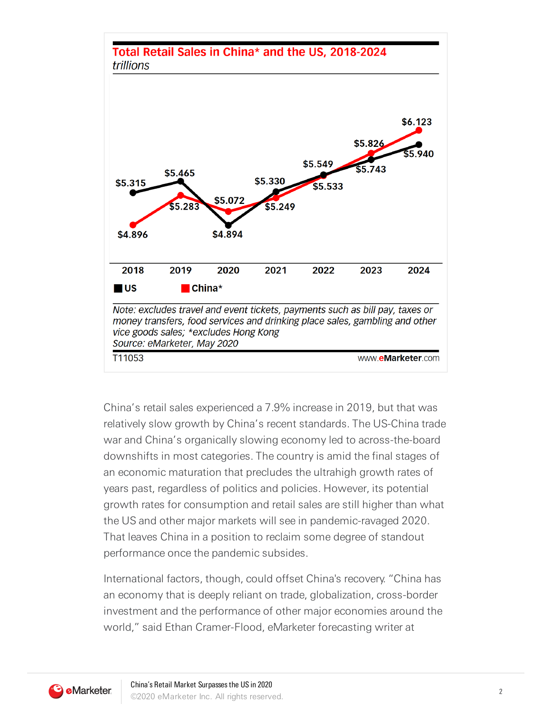

China's retail sales experienced a 7.9% increase in 2019, but that was relatively slow growth by China's recent standards. The US-China trade war and China's organically slowing economy led to across-the-board downshifts in most categories. The country is amid the final stages of an economic maturation that precludes the ultrahigh growth rates of years past, regardless of politics and policies. However, its potential growth rates for consumption and retail sales are still higher than what the US and other major markets will see in pandemic-ravaged 2020. That leaves China in a position to reclaim some degree of standout performance once the pandemic subsides.

International factors, though, could offset China's recovery. "China has an economy that is deeply reliant on trade, globalization, cross-border investment and the performance of other major economies around the world," said Ethan Cramer-Flood, eMarketer forecasting writer at